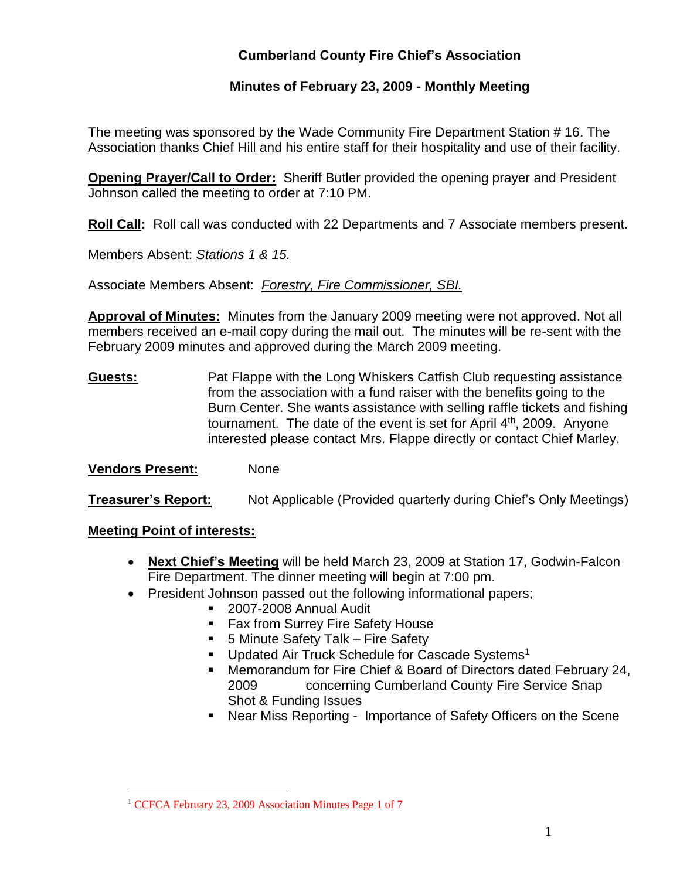## **Cumberland County Fire Chief's Association**

### **Minutes of February 23, 2009 - Monthly Meeting**

The meeting was sponsored by the Wade Community Fire Department Station # 16. The Association thanks Chief Hill and his entire staff for their hospitality and use of their facility.

**Opening Prayer/Call to Order:** Sheriff Butler provided the opening prayer and President Johnson called the meeting to order at 7:10 PM.

**Roll Call:** Roll call was conducted with 22 Departments and 7 Associate members present.

Members Absent: *Stations 1 & 15.*

Associate Members Absent: *Forestry, Fire Commissioner, SBI.*

**Approval of Minutes:** Minutes from the January 2009 meeting were not approved. Not all members received an e-mail copy during the mail out. The minutes will be re-sent with the February 2009 minutes and approved during the March 2009 meeting.

**Guests:** Pat Flappe with the Long Whiskers Catfish Club requesting assistance from the association with a fund raiser with the benefits going to the Burn Center. She wants assistance with selling raffle tickets and fishing tournament. The date of the event is set for April 4<sup>th</sup>, 2009. Anyone interested please contact Mrs. Flappe directly or contact Chief Marley.

### **Vendors Present:** None

**Treasurer's Report:** Not Applicable (Provided quarterly during Chief's Only Meetings)

#### **Meeting Point of interests:**

- **Next Chief's Meeting** will be held March 23, 2009 at Station 17, Godwin-Falcon Fire Department. The dinner meeting will begin at 7:00 pm.
- President Johnson passed out the following informational papers;
	- 2007-2008 Annual Audit
	- Fax from Surrey Fire Safety House
	- 5 Minute Safety Talk Fire Safety
	- **Updated Air Truck Schedule for Cascade Systems<sup>1</sup>**
	- Memorandum for Fire Chief & Board of Directors dated February 24, 2009 concerning Cumberland County Fire Service Snap Shot & Funding Issues
	- Near Miss Reporting Importance of Safety Officers on the Scene

 $\overline{a}$ <sup>1</sup> CCFCA February 23, 2009 Association Minutes Page 1 of 7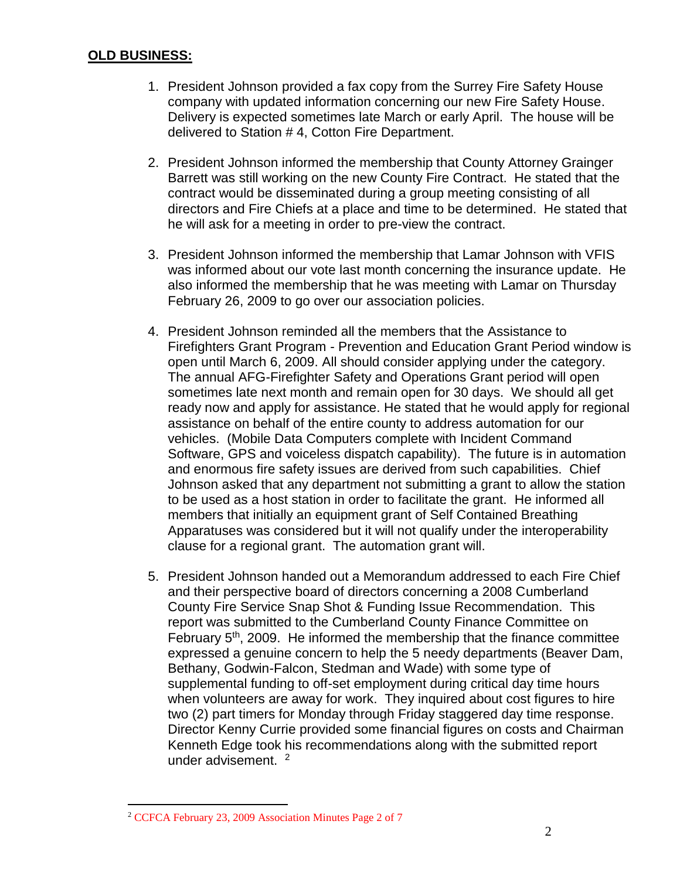#### **OLD BUSINESS:**

- 1. President Johnson provided a fax copy from the Surrey Fire Safety House company with updated information concerning our new Fire Safety House. Delivery is expected sometimes late March or early April. The house will be delivered to Station # 4, Cotton Fire Department.
- 2. President Johnson informed the membership that County Attorney Grainger Barrett was still working on the new County Fire Contract. He stated that the contract would be disseminated during a group meeting consisting of all directors and Fire Chiefs at a place and time to be determined. He stated that he will ask for a meeting in order to pre-view the contract.
- 3. President Johnson informed the membership that Lamar Johnson with VFIS was informed about our vote last month concerning the insurance update. He also informed the membership that he was meeting with Lamar on Thursday February 26, 2009 to go over our association policies.
- 4. President Johnson reminded all the members that the Assistance to Firefighters Grant Program - Prevention and Education Grant Period window is open until March 6, 2009. All should consider applying under the category. The annual AFG-Firefighter Safety and Operations Grant period will open sometimes late next month and remain open for 30 days. We should all get ready now and apply for assistance. He stated that he would apply for regional assistance on behalf of the entire county to address automation for our vehicles. (Mobile Data Computers complete with Incident Command Software, GPS and voiceless dispatch capability). The future is in automation and enormous fire safety issues are derived from such capabilities. Chief Johnson asked that any department not submitting a grant to allow the station to be used as a host station in order to facilitate the grant. He informed all members that initially an equipment grant of Self Contained Breathing Apparatuses was considered but it will not qualify under the interoperability clause for a regional grant. The automation grant will.
- 5. President Johnson handed out a Memorandum addressed to each Fire Chief and their perspective board of directors concerning a 2008 Cumberland County Fire Service Snap Shot & Funding Issue Recommendation. This report was submitted to the Cumberland County Finance Committee on February 5<sup>th</sup>, 2009. He informed the membership that the finance committee expressed a genuine concern to help the 5 needy departments (Beaver Dam, Bethany, Godwin-Falcon, Stedman and Wade) with some type of supplemental funding to off-set employment during critical day time hours when volunteers are away for work. They inquired about cost figures to hire two (2) part timers for Monday through Friday staggered day time response. Director Kenny Currie provided some financial figures on costs and Chairman Kenneth Edge took his recommendations along with the submitted report under advisement. <sup>2</sup>

 $\overline{a}$ 

<sup>2</sup> CCFCA February 23, 2009 Association Minutes Page 2 of 7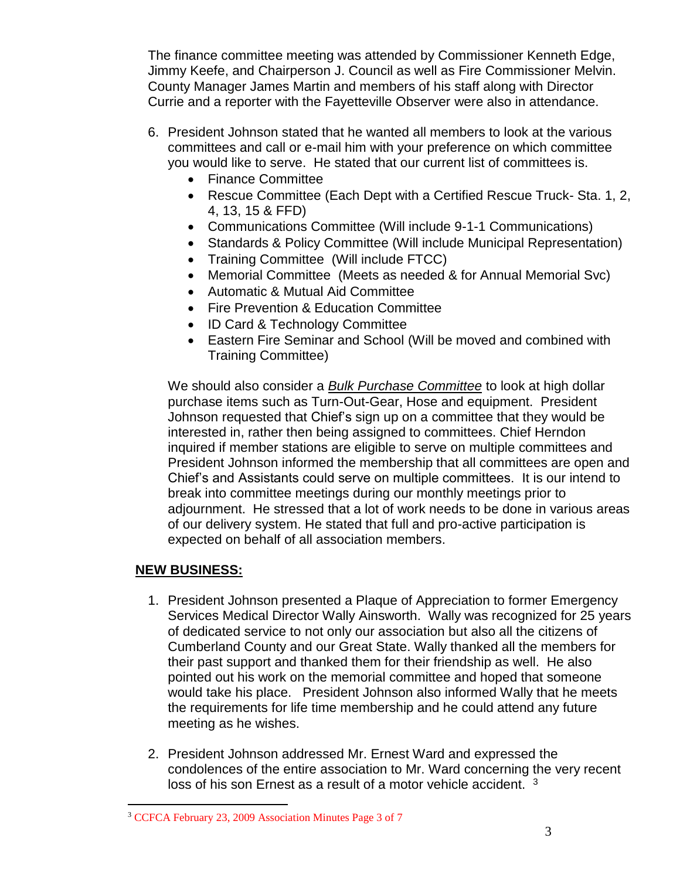The finance committee meeting was attended by Commissioner Kenneth Edge, Jimmy Keefe, and Chairperson J. Council as well as Fire Commissioner Melvin. County Manager James Martin and members of his staff along with Director Currie and a reporter with the Fayetteville Observer were also in attendance.

- 6. President Johnson stated that he wanted all members to look at the various committees and call or e-mail him with your preference on which committee you would like to serve. He stated that our current list of committees is.
	- Finance Committee
	- Rescue Committee (Each Dept with a Certified Rescue Truck- Sta. 1, 2, 4, 13, 15 & FFD)
	- Communications Committee (Will include 9-1-1 Communications)
	- Standards & Policy Committee (Will include Municipal Representation)
	- Training Committee (Will include FTCC)
	- Memorial Committee (Meets as needed & for Annual Memorial Svc)
	- Automatic & Mutual Aid Committee
	- Fire Prevention & Education Committee
	- ID Card & Technology Committee
	- Eastern Fire Seminar and School (Will be moved and combined with Training Committee)

We should also consider a *Bulk Purchase Committee* to look at high dollar purchase items such as Turn-Out-Gear, Hose and equipment. President Johnson requested that Chief's sign up on a committee that they would be interested in, rather then being assigned to committees. Chief Herndon inquired if member stations are eligible to serve on multiple committees and President Johnson informed the membership that all committees are open and Chief's and Assistants could serve on multiple committees. It is our intend to break into committee meetings during our monthly meetings prior to adjournment. He stressed that a lot of work needs to be done in various areas of our delivery system. He stated that full and pro-active participation is expected on behalf of all association members.

### **NEW BUSINESS:**

 $\overline{a}$ 

- 1. President Johnson presented a Plaque of Appreciation to former Emergency Services Medical Director Wally Ainsworth. Wally was recognized for 25 years of dedicated service to not only our association but also all the citizens of Cumberland County and our Great State. Wally thanked all the members for their past support and thanked them for their friendship as well. He also pointed out his work on the memorial committee and hoped that someone would take his place. President Johnson also informed Wally that he meets the requirements for life time membership and he could attend any future meeting as he wishes.
- 2. President Johnson addressed Mr. Ernest Ward and expressed the condolences of the entire association to Mr. Ward concerning the very recent loss of his son Ernest as a result of a motor vehicle accident. <sup>3</sup>

<sup>3</sup> CCFCA February 23, 2009 Association Minutes Page 3 of 7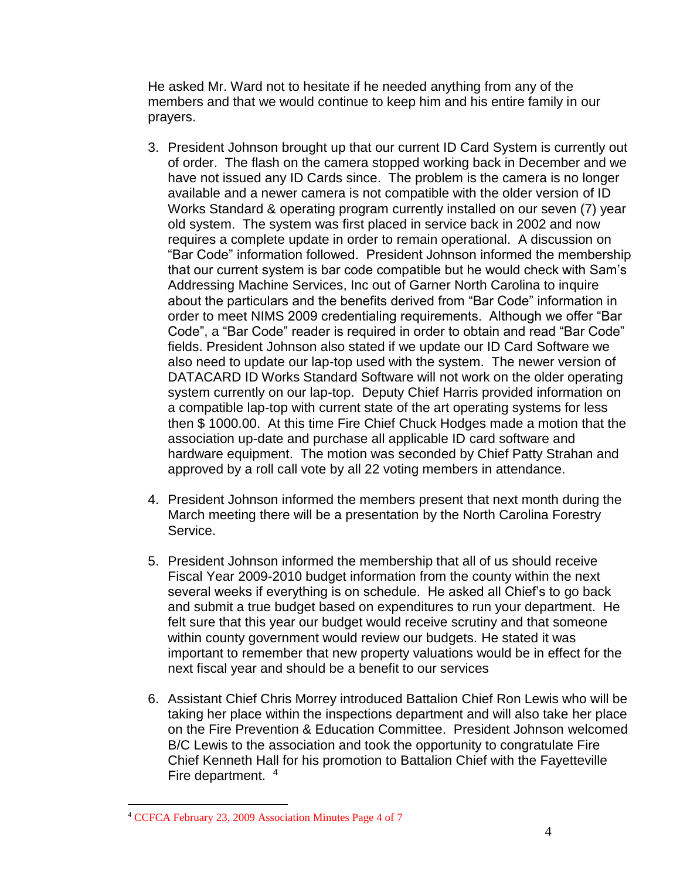He asked Mr. Ward not to hesitate if he needed anything from any of the members and that we would continue to keep him and his entire family in our prayers.

- 3. President Johnson brought up that our current ID Card System is currently out of order. The flash on the camera stopped working back in December and we have not issued any ID Cards since. The problem is the camera is no longer available and a newer camera is not compatible with the older version of ID Works Standard & operating program currently installed on our seven (7) year old system. The system was first placed in service back in 2002 and now requires a complete update in order to remain operational. A discussion on "Bar Code" information followed. President Johnson informed the membership that our current system is bar code compatible but he would check with Sam's Addressing Machine Services, Inc out of Garner North Carolina to inquire about the particulars and the benefits derived from "Bar Code" information in order to meet NIMS 2009 credentialing requirements. Although we offer "Bar Code", a "Bar Code" reader is required in order to obtain and read "Bar Code" fields. President Johnson also stated if we update our ID Card Software we also need to update our lap-top used with the system. The newer version of DATACARD ID Works Standard Software will not work on the older operating system currently on our lap-top. Deputy Chief Harris provided information on a compatible lap-top with current state of the art operating systems for less then \$ 1000.00. At this time Fire Chief Chuck Hodges made a motion that the association up-date and purchase all applicable ID card software and hardware equipment. The motion was seconded by Chief Patty Strahan and approved by a roll call vote by all 22 voting members in attendance.
- 4. President Johnson informed the members present that next month during the March meeting there will be a presentation by the North Carolina Forestry Service.
- 5. President Johnson informed the membership that all of us should receive Fiscal Year 2009-2010 budget information from the county within the next several weeks if everything is on schedule. He asked all Chief's to go back and submit a true budget based on expenditures to run your department. He felt sure that this year our budget would receive scrutiny and that someone within county government would review our budgets. He stated it was important to remember that new property valuations would be in effect for the next fiscal year and should be a benefit to our services
- 6. Assistant Chief Chris Morrey introduced Battalion Chief Ron Lewis who will be taking her place within the inspections department and will also take her place on the Fire Prevention & Education Committee. President Johnson welcomed B/C Lewis to the association and took the opportunity to congratulate Fire Chief Kenneth Hall for his promotion to Battalion Chief with the Fayetteville Fire department. <sup>4</sup>

 $\overline{a}$ 

<sup>4</sup> CCFCA February 23, 2009 Association Minutes Page 4 of 7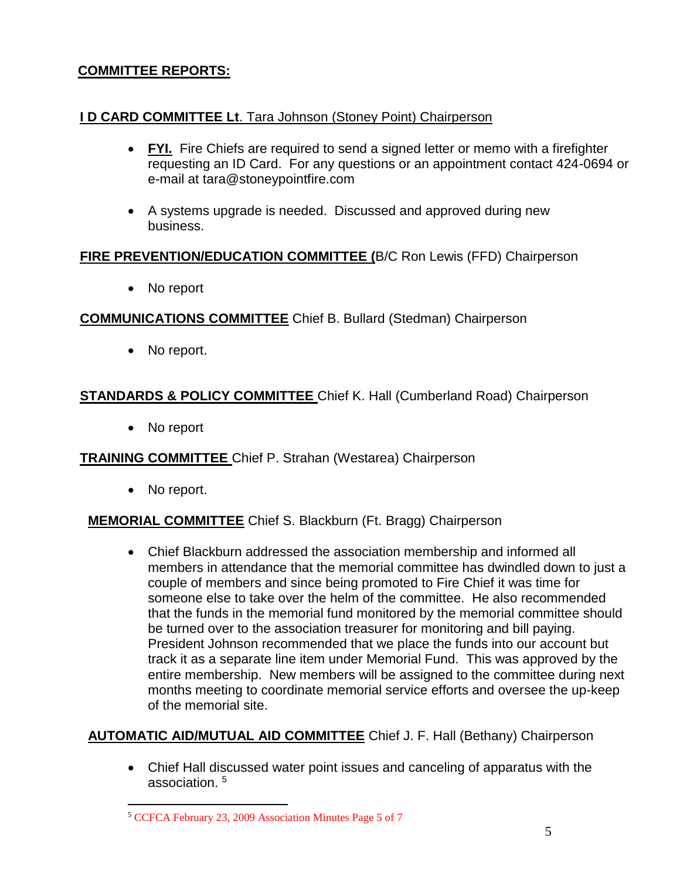### **COMMITTEE REPORTS:**

### **I D CARD COMMITTEE Lt**. Tara Johnson (Stoney Point) Chairperson

- **FYI.** Fire Chiefs are required to send a signed letter or memo with a firefighter requesting an ID Card. For any questions or an appointment contact 424-0694 or e-mail at [tara@stoneypointfire.com](mailto:tara@stoneypointfire.com)
- A systems upgrade is needed. Discussed and approved during new business.

#### **FIRE PREVENTION/EDUCATION COMMITTEE (**B/C Ron Lewis (FFD) Chairperson

• No report

### **COMMUNICATIONS COMMITTEE** Chief B. Bullard (Stedman) Chairperson

• No report.

## **STANDARDS & POLICY COMMITTEE** Chief K. Hall (Cumberland Road) Chairperson

• No report

### **TRAINING COMMITTEE** Chief P. Strahan (Westarea) Chairperson

• No report.

 $\overline{a}$ 

### **MEMORIAL COMMITTEE** Chief S. Blackburn (Ft. Bragg) Chairperson

 Chief Blackburn addressed the association membership and informed all members in attendance that the memorial committee has dwindled down to just a couple of members and since being promoted to Fire Chief it was time for someone else to take over the helm of the committee. He also recommended that the funds in the memorial fund monitored by the memorial committee should be turned over to the association treasurer for monitoring and bill paying. President Johnson recommended that we place the funds into our account but track it as a separate line item under Memorial Fund. This was approved by the entire membership. New members will be assigned to the committee during next months meeting to coordinate memorial service efforts and oversee the up-keep of the memorial site.

### **AUTOMATIC AID/MUTUAL AID COMMITTEE** Chief J. F. Hall (Bethany) Chairperson

 Chief Hall discussed water point issues and canceling of apparatus with the association. <sup>5</sup>

<sup>5</sup> CCFCA February 23, 2009 Association Minutes Page 5 of 7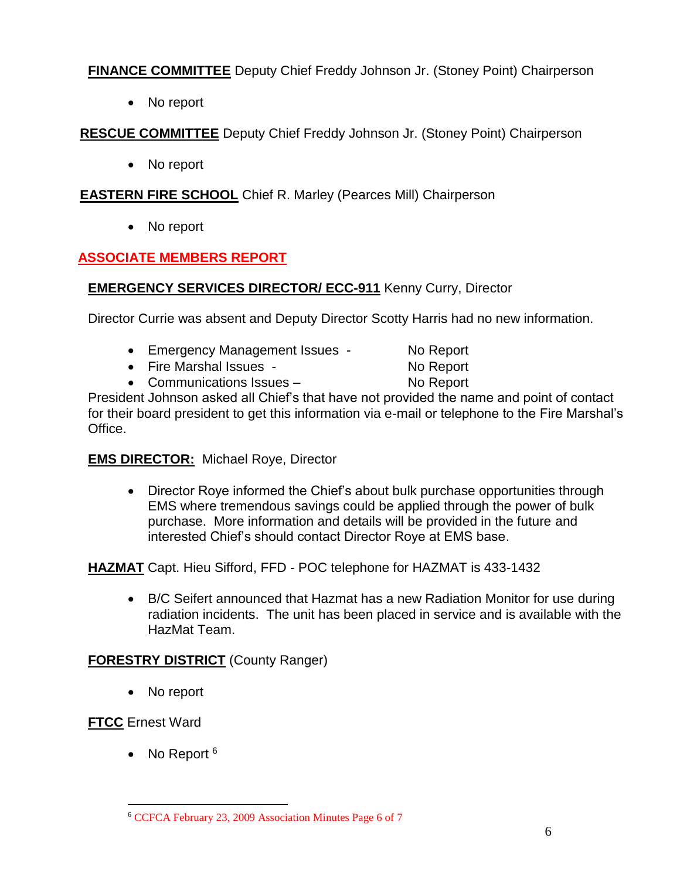**FINANCE COMMITTEE** Deputy Chief Freddy Johnson Jr. (Stoney Point) Chairperson

• No report

**RESCUE COMMITTEE** Deputy Chief Freddy Johnson Jr. (Stoney Point) Chairperson

• No report

## **EASTERN FIRE SCHOOL** Chief R. Marley (Pearces Mill) Chairperson

• No report

# **ASSOCIATE MEMBERS REPORT**

# **EMERGENCY SERVICES DIRECTOR/ ECC-911** Kenny Curry, Director

Director Currie was absent and Deputy Director Scotty Harris had no new information.

- Emergency Management Issues No Report
- Fire Marshal Issues No Report
- Communications Issues No Report

President Johnson asked all Chief's that have not provided the name and point of contact for their board president to get this information via e-mail or telephone to the Fire Marshal's Office.

## **EMS DIRECTOR:** Michael Roye, Director

• Director Roye informed the Chief's about bulk purchase opportunities through EMS where tremendous savings could be applied through the power of bulk purchase. More information and details will be provided in the future and interested Chief's should contact Director Roye at EMS base.

**HAZMAT** Capt. Hieu Sifford, FFD - POC telephone for HAZMAT is 433-1432

 B/C Seifert announced that Hazmat has a new Radiation Monitor for use during radiation incidents. The unit has been placed in service and is available with the HazMat Team.

## **FORESTRY DISTRICT** (County Ranger)

• No report

# **FTCC** Ernest Ward

• No Report  $6$ 

 $\overline{a}$ <sup>6</sup> CCFCA February 23, 2009 Association Minutes Page 6 of 7